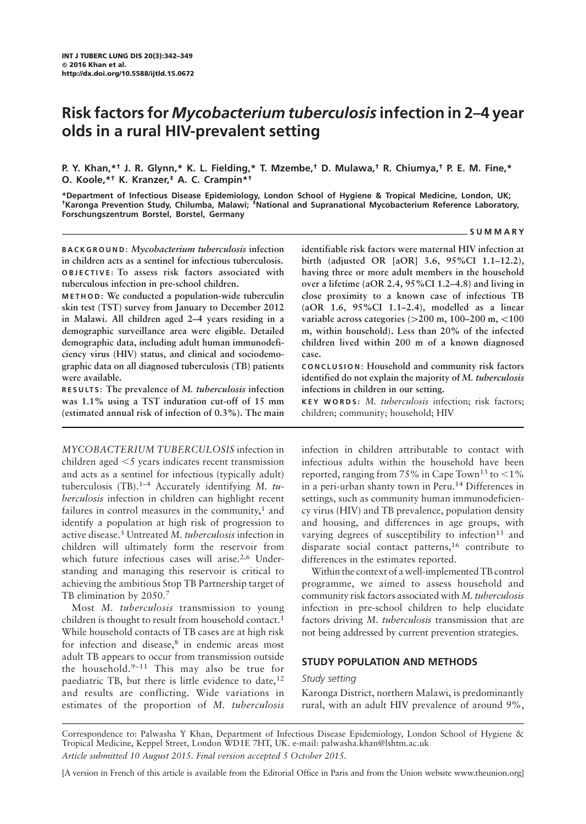# Risk factors for Mycobacterium tuberculosis infection in 2–4 year olds in a rural HIV-prevalent setting

P. Y. Khan,\*† J. R. Glynn,\* K. L. Fielding,\* T. Mzembe,† D. Mulawa,† R. Chiumya,† P. E. M. Fine,\* O. Koole,\*† K. Kranzer,‡ A. C. Crampin\*†

\*Department of Infectious Disease Epidemiology, London School of Hygiene & Tropical Medicine, London, UK; †Karonga Prevention Study, Chilumba, Malawi; ‡National and Supranational Mycobacterium Reference Laboratory, Forschungszentrum Borstel, Borstel, Germany

#### SUMMARY

BACKGROUND: Mycobacterium tuberculosis infection in children acts as a sentinel for infectious tuberculosis. OBJECTIVE: To assess risk factors associated with tuberculous infection in pre-school children.

METHOD: We conducted a population-wide tuberculin skin test (TST) survey from January to December 2012 in Malawi. All children aged 2–4 years residing in a demographic surveillance area were eligible. Detailed demographic data, including adult human immunodeficiency virus (HIV) status, and clinical and sociodemographic data on all diagnosed tuberculosis (TB) patients were available.

RESULTS: The prevalence of M. tuberculosis infection was 1.1% using a TST induration cut-off of 15 mm (estimated annual risk of infection of 0.3%). The main

MYCOBACTERIUM TUBERCULOSIS infection in children aged  $<$ 5 years indicates recent transmission and acts as a sentinel for infectious (typically adult) tuberculosis (TB).<sup>1-4</sup> Accurately identifying M.  $tu$ berculosis infection in children can highlight recent failures in control measures in the community, $1$  and identify a population at high risk of progression to active disease.<sup>5</sup> Untreated M. tuberculosis infection in children will ultimately form the reservoir from which future infectious cases will arise.<sup>2,6</sup> Understanding and managing this reservoir is critical to achieving the ambitious Stop TB Partnership target of TB elimination by 2050.7

Most M. tuberculosis transmission to young children is thought to result from household contact.<sup>1</sup> While household contacts of TB cases are at high risk for infection and disease,<sup>8</sup> in endemic areas most adult TB appears to occur from transmission outside the household. $9-11$  This may also be true for paediatric TB, but there is little evidence to date, $12$ and results are conflicting. Wide variations in estimates of the proportion of M. tuberculosis

identifiable risk factors were maternal HIV infection at birth (adjusted OR [aOR] 3.6, 95%CI 1.1–12.2), having three or more adult members in the household over a lifetime (aOR 2.4, 95%CI 1.2–4.8) and living in close proximity to a known case of infectious TB (aOR 1.6, 95%CI 1.1–2.4), modelled as a linear variable across categories  $(>200 \text{ m}, 100-200 \text{ m}, <100$ m, within household). Less than 20% of the infected children lived within 200 m of a known diagnosed case.

CONCLUSION: Household and community risk factors identified do not explain the majority of M. tuberculosis infections in children in our setting.

KEY WORDS: M. tuberculosis infection; risk factors; children; community; household; HIV

infection in children attributable to contact with infectious adults within the household have been reported, ranging from 75% in Cape Town<sup>13</sup> to  $\leq$ 1% in a peri-urban shanty town in Peru.<sup>14</sup> Differences in settings, such as community human immunodeficiency virus (HIV) and TB prevalence, population density and housing, and differences in age groups, with varying degrees of susceptibility to infection<sup>15</sup> and disparate social contact patterns,<sup>16</sup> contribute to differences in the estimates reported.

Within the context of a well-implemented TB control programme, we aimed to assess household and community risk factors associated with M. tuberculosis infection in pre-school children to help elucidate factors driving M. tuberculosis transmission that are not being addressed by current prevention strategies.

# STUDY POPULATION AND METHODS

### Study setting

Karonga District, northern Malawi, is predominantly rural, with an adult HIV prevalence of around 9%,

Correspondence to: Palwasha Y Khan, Department of Infectious Disease Epidemiology, London School of Hygiene & Tropical Medicine, Keppel Street, London WD1E 7HT, UK. e-mail: palwasha.khan@lshtm.ac.uk

Article submitted 10 August 2015. Final version accepted 5 October 2015.

[A version in French of this article is available from the Editorial Office in Paris and from the Union website www.theunion.org]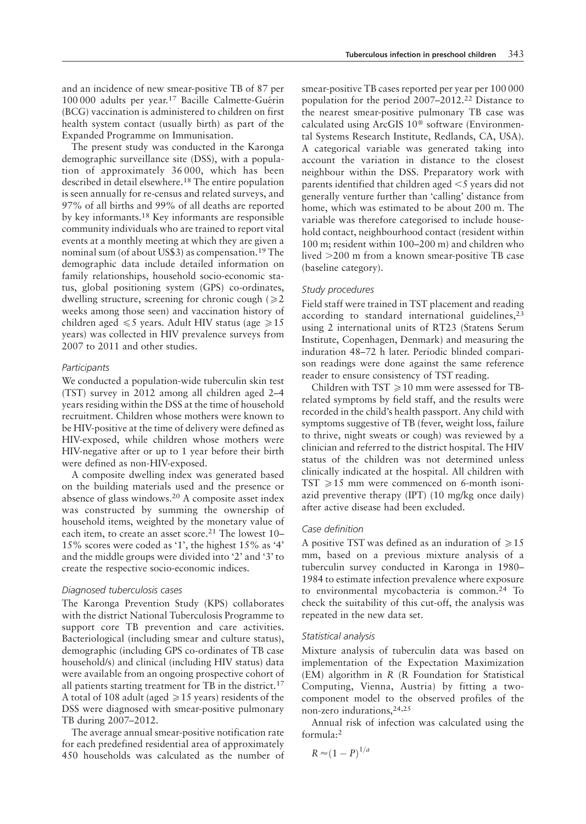and an incidence of new smear-positive TB of 87 per 100 000 adults per year.<sup>17</sup> Bacille Calmette-Guérin (BCG) vaccination is administered to children on first health system contact (usually birth) as part of the Expanded Programme on Immunisation.

The present study was conducted in the Karonga demographic surveillance site (DSS), with a population of approximately 36 000, which has been described in detail elsewhere.<sup>18</sup> The entire population is seen annually for re-census and related surveys, and 97% of all births and 99% of all deaths are reported by key informants.18 Key informants are responsible community individuals who are trained to report vital events at a monthly meeting at which they are given a nominal sum (of about US\$3) as compensation.<sup>19</sup> The demographic data include detailed information on family relationships, household socio-economic status, global positioning system (GPS) co-ordinates, dwelling structure, screening for chronic cough  $\geq 2$ weeks among those seen) and vaccination history of children aged  $\leq 5$  years. Adult HIV status (age  $\geq 15$ years) was collected in HIV prevalence surveys from 2007 to 2011 and other studies.

### **Participants**

We conducted a population-wide tuberculin skin test (TST) survey in 2012 among all children aged 2–4 years residing within the DSS at the time of household recruitment. Children whose mothers were known to be HIV-positive at the time of delivery were defined as HIV-exposed, while children whose mothers were HIV-negative after or up to 1 year before their birth were defined as non-HIV-exposed.

A composite dwelling index was generated based on the building materials used and the presence or absence of glass windows.20 A composite asset index was constructed by summing the ownership of household items, weighted by the monetary value of each item, to create an asset score.<sup>21</sup> The lowest 10-15% scores were coded as '1', the highest 15% as '4' and the middle groups were divided into '2' and '3' to create the respective socio-economic indices.

#### Diagnosed tuberculosis cases

The Karonga Prevention Study (KPS) collaborates with the district National Tuberculosis Programme to support core TB prevention and care activities. Bacteriological (including smear and culture status), demographic (including GPS co-ordinates of TB case household/s) and clinical (including HIV status) data were available from an ongoing prospective cohort of all patients starting treatment for TB in the district.<sup>17</sup> A total of 108 adult (aged  $\ge$  15 years) residents of the DSS were diagnosed with smear-positive pulmonary TB during 2007–2012.

The average annual smear-positive notification rate for each predefined residential area of approximately 450 households was calculated as the number of smear-positive TB cases reported per year per 100 000 population for the period 2007–2012.<sup>22</sup> Distance to the nearest smear-positive pulmonary TB case was calculated using ArcGIS  $10^{\circledast}$  software (Environmental Systems Research Institute, Redlands, CA, USA). A categorical variable was generated taking into account the variation in distance to the closest neighbour within the DSS. Preparatory work with parents identified that children aged  $\leq$  years did not generally venture further than 'calling' distance from home, which was estimated to be about 200 m. The variable was therefore categorised to include household contact, neighbourhood contact (resident within 100 m; resident within 100–200 m) and children who lived  $>200$  m from a known smear-positive TB case (baseline category).

### Study procedures

Field staff were trained in TST placement and reading according to standard international guidelines,<sup>23</sup> using 2 international units of RT23 (Statens Serum Institute, Copenhagen, Denmark) and measuring the induration 48–72 h later. Periodic blinded comparison readings were done against the same reference reader to ensure consistency of TST reading.

Children with TST  $\geq 10$  mm were assessed for TBrelated symptoms by field staff, and the results were recorded in the child's health passport. Any child with symptoms suggestive of TB (fever, weight loss, failure to thrive, night sweats or cough) was reviewed by a clinician and referred to the district hospital. The HIV status of the children was not determined unless clinically indicated at the hospital. All children with  $TST \geq 15$  mm were commenced on 6-month isoniazid preventive therapy (IPT) (10 mg/kg once daily) after active disease had been excluded.

#### Case definition

A positive TST was defined as an induration of  $\ge 15$ mm, based on a previous mixture analysis of a tuberculin survey conducted in Karonga in 1980– 1984 to estimate infection prevalence where exposure to environmental mycobacteria is common.<sup>24</sup> To check the suitability of this cut-off, the analysis was repeated in the new data set.

#### Statistical analysis

Mixture analysis of tuberculin data was based on implementation of the Expectation Maximization (EM) algorithm in R (R Foundation for Statistical Computing, Vienna, Austria) by fitting a twocomponent model to the observed profiles of the non-zero indurations,24,25

Annual risk of infection was calculated using the formula:<sup>2</sup>

$$
R \approx (1 - P)^{1/a}
$$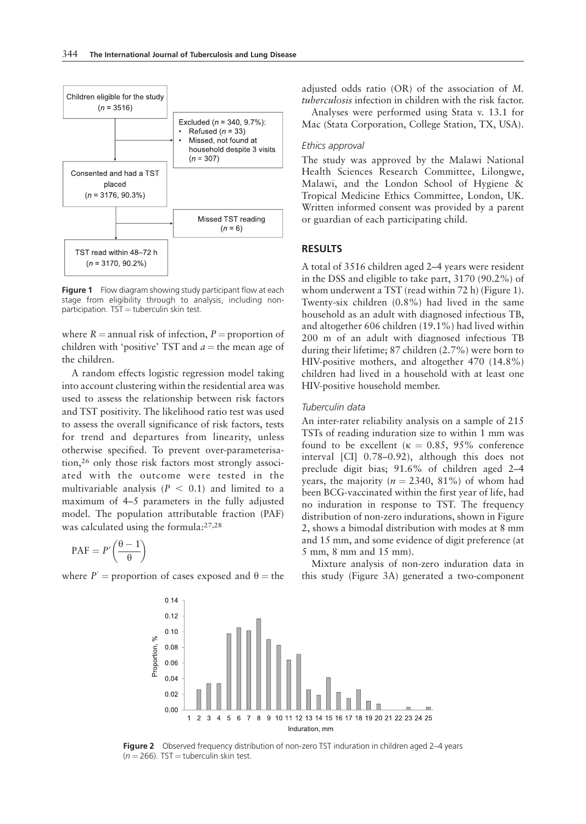

Figure 1 Flow diagram showing study participant flow at each stage from eligibility through to analysis, including non $participation. TST = tuberculin skin test.$ 

where  $R =$  annual risk of infection,  $P =$  proportion of children with 'positive' TST and  $a =$  the mean age of the children.

A random effects logistic regression model taking into account clustering within the residential area was used to assess the relationship between risk factors and TST positivity. The likelihood ratio test was used to assess the overall significance of risk factors, tests for trend and departures from linearity, unless otherwise specified. To prevent over-parameterisation,<sup>26</sup> only those risk factors most strongly associated with the outcome were tested in the multivariable analysis ( $P < 0.1$ ) and limited to a maximum of 4–5 parameters in the fully adjusted model. The population attributable fraction (PAF) was calculated using the formula:27,28

$$
PAF = P'\left(\frac{\theta-1}{\theta}\right)
$$

where  $P'$  = proportion of cases exposed and  $\theta$  = the

adjusted odds ratio (OR) of the association of M. tuberculosis infection in children with the risk factor.

Analyses were performed using Stata v. 13.1 for Mac (Stata Corporation, College Station, TX, USA).

### Ethics approval

The study was approved by the Malawi National Health Sciences Research Committee, Lilongwe, Malawi, and the London School of Hygiene & Tropical Medicine Ethics Committee, London, UK. Written informed consent was provided by a parent or guardian of each participating child.

### RESULTS

A total of 3516 children aged 2–4 years were resident in the DSS and eligible to take part, 3170 (90.2%) of whom underwent a TST (read within 72 h) (Figure 1). Twenty-six children (0.8%) had lived in the same household as an adult with diagnosed infectious TB, and altogether 606 children (19.1%) had lived within 200 m of an adult with diagnosed infectious TB during their lifetime; 87 children (2.7%) were born to HIV-positive mothers, and altogether 470 (14.8%) children had lived in a household with at least one HIV-positive household member.

### Tuberculin data

An inter-rater reliability analysis on a sample of 215 TSTs of reading induration size to within 1 mm was found to be excellent ( $\kappa = 0.85, 95\%$  conference interval [CI] 0.78–0.92), although this does not preclude digit bias; 91.6% of children aged 2–4 years, the majority ( $n = 2340$ ,  $81\%$ ) of whom had been BCG-vaccinated within the first year of life, had no induration in response to TST. The frequency distribution of non-zero indurations, shown in Figure 2, shows a bimodal distribution with modes at 8 mm and 15 mm, and some evidence of digit preference (at 5 mm, 8 mm and 15 mm).

Mixture analysis of non-zero induration data in this study (Figure 3A) generated a two-component



Figure 2 Observed frequency distribution of non-zero TST induration in children aged 2-4 years  $(n = 266)$ . TST = tuberculin skin test.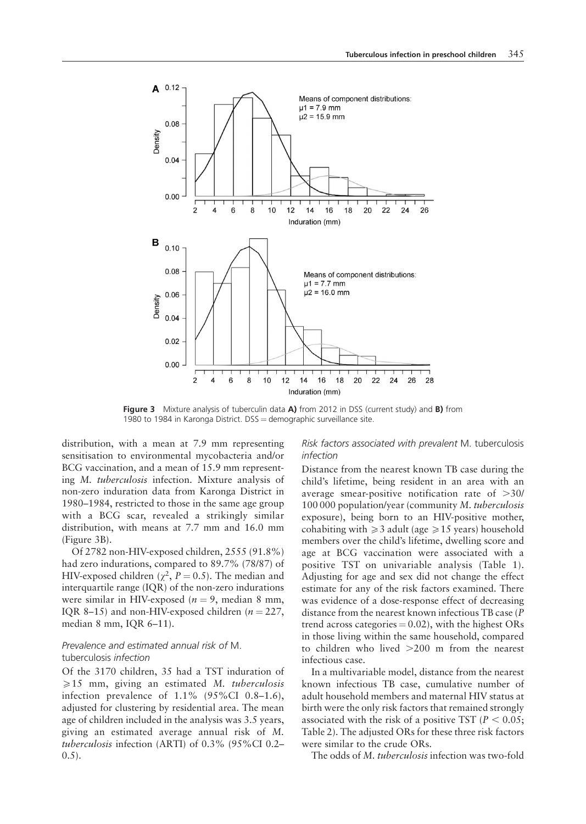

Figure 3 Mixture analysis of tuberculin data A) from 2012 in DSS (current study) and B) from 1980 to 1984 in Karonga District.  $DSS =$  demographic surveillance site.

distribution, with a mean at 7.9 mm representing sensitisation to environmental mycobacteria and/or BCG vaccination, and a mean of 15.9 mm representing M. tuberculosis infection. Mixture analysis of non-zero induration data from Karonga District in 1980–1984, restricted to those in the same age group with a BCG scar, revealed a strikingly similar distribution, with means at 7.7 mm and 16.0 mm (Figure 3B).

Of 2782 non-HIV-exposed children, 2555 (91.8%) had zero indurations, compared to 89.7% (78/87) of HIV-exposed children ( $\chi^2$ ,  $P = 0.5$ ). The median and interquartile range (IQR) of the non-zero indurations were similar in HIV-exposed ( $n = 9$ , median 8 mm, IQR 8–15) and non-HIV-exposed children ( $n = 227$ , median 8 mm, IQR 6–11).

### Prevalence and estimated annual risk of M. tuberculosis infection

Of the 3170 children, 35 had a TST induration of  $\geq 15$  mm, giving an estimated M. tuberculosis infection prevalence of 1.1% (95%CI 0.8–1.6), adjusted for clustering by residential area. The mean age of children included in the analysis was 3.5 years, giving an estimated average annual risk of M. tuberculosis infection (ARTI) of 0.3% (95%CI 0.2–  $(0.5)$ .

### Risk factors associated with prevalent M. tuberculosis infection

Distance from the nearest known TB case during the child's lifetime, being resident in an area with an average smear-positive notification rate of  $>30/$ 100 000 population/year (community M. tuberculosis exposure), being born to an HIV-positive mother, cohabiting with  $\geq 3$  adult (age  $\geq 15$  years) household members over the child's lifetime, dwelling score and age at BCG vaccination were associated with a positive TST on univariable analysis (Table 1). Adjusting for age and sex did not change the effect estimate for any of the risk factors examined. There was evidence of a dose-response effect of decreasing distance from the nearest known infectious TB case (P trend across categories  $= 0.02$ ), with the highest ORs in those living within the same household, compared to children who lived  $>200$  m from the nearest infectious case.

In a multivariable model, distance from the nearest known infectious TB case, cumulative number of adult household members and maternal HIV status at birth were the only risk factors that remained strongly associated with the risk of a positive TST ( $P < 0.05$ ; Table 2). The adjusted ORs for these three risk factors were similar to the crude ORs.

The odds of M. tuberculosis infection was two-fold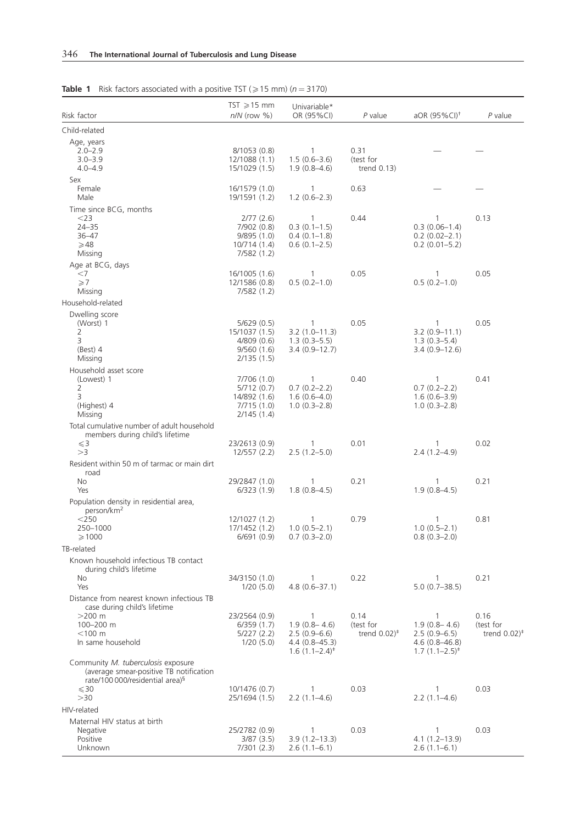|                                                                               | $TST \geqslant 15$ mm        | Univariable*                     |                                          |                                   |                           |
|-------------------------------------------------------------------------------|------------------------------|----------------------------------|------------------------------------------|-----------------------------------|---------------------------|
| Risk factor                                                                   | $n/N$ (row $%$ )             | OR (95%CI)                       | $P$ value                                | aOR $(95\%$ CI) <sup>†</sup>      | $P$ value                 |
| Child-related                                                                 |                              |                                  |                                          |                                   |                           |
| Age, years                                                                    |                              |                                  |                                          |                                   |                           |
| $2.0 - 2.9$<br>$3.0 - 3.9$                                                    | 8/1053 (0.8)<br>12/1088(1.1) | $\mathbf{1}$<br>$1.5(0.6-3.6)$   | 0.31<br>(test for                        |                                   |                           |
| $4.0 - 4.9$                                                                   | 15/1029 (1.5)                | $1.9(0.8 - 4.6)$                 | trend $0.13$ )                           |                                   |                           |
| Sex                                                                           |                              |                                  |                                          |                                   |                           |
| Female                                                                        | 16/1579 (1.0)                | $\mathbf{1}$                     | 0.63                                     |                                   |                           |
| Male                                                                          | 19/1591 (1.2)                | $1.2(0.6-2.3)$                   |                                          |                                   |                           |
| Time since BCG, months<br>$<$ 23                                              |                              |                                  | 0.44                                     |                                   |                           |
| $24 - 35$                                                                     | 2/77(2.6)<br>7/902 (0.8)     | 1<br>$0.3(0.1-1.5)$              |                                          | $\mathbf{1}$<br>$0.3(0.06-1.4)$   | 0.13                      |
| $36 - 47$                                                                     | 9/895(1.0)                   | $0.4(0.1-1.8)$                   |                                          | $0.2(0.02 - 2.1)$                 |                           |
| $\geqslant$ 48                                                                | 10/714(1.4)                  | $0.6(0.1 - 2.5)$                 |                                          | $0.2$ (0.01-5.2)                  |                           |
| Missing                                                                       | 7/582(1.2)                   |                                  |                                          |                                   |                           |
| Age at BCG, days<br>$<$ 7                                                     | 16/1005 (1.6)                | 1                                | 0.05                                     | 1                                 | 0.05                      |
| $\geq 7$                                                                      | 12/1586 (0.8)                | $0.5(0.2-1.0)$                   |                                          | $0.5(0.2 - 1.0)$                  |                           |
| Missing                                                                       | 7/582(1.2)                   |                                  |                                          |                                   |                           |
| Household-related                                                             |                              |                                  |                                          |                                   |                           |
| Dwelling score                                                                |                              |                                  |                                          |                                   |                           |
| (Worst) 1<br>2                                                                | 5/629(0.5)<br>15/1037 (1.5)  | 1<br>$3.2(1.0 - 11.3)$           | 0.05                                     | $\mathbf{1}$<br>$3.2(0.9 - 11.1)$ | 0.05                      |
| 3                                                                             | 4/809(0.6)                   | $1.3(0.3-5.5)$                   |                                          | $1.3(0.3-5.4)$                    |                           |
| $(Best)$ 4                                                                    | 9/560(1.6)                   | $3.4(0.9-12.7)$                  |                                          | $3.4(0.9-12.6)$                   |                           |
| Missing                                                                       | 2/135(1.5)                   |                                  |                                          |                                   |                           |
| Household asset score<br>(Lowest) 1                                           | 7/706 (1.0)                  | 1                                | 0.40                                     | 1                                 | 0.41                      |
| 2                                                                             | 5/712(0.7)                   | $0.7(0.2 - 2.2)$                 |                                          | $0.7(0.2 - 2.2)$                  |                           |
| 3                                                                             | 14/892 (1.6)                 | $1.6(0.6-4.0)$                   |                                          | $1.6(0.6-3.9)$                    |                           |
| (Highest) 4<br>Missing                                                        | 7/715(1.0)<br>2/145(1.4)     | $1.0(0.3-2.8)$                   |                                          | $1.0(0.3-2.8)$                    |                           |
| Total cumulative number of adult household                                    |                              |                                  |                                          |                                   |                           |
| members during child's lifetime                                               |                              |                                  |                                          |                                   |                           |
| $\leqslant$ 3                                                                 | 23/2613 (0.9)                | 1                                | 0.01                                     | 1                                 | 0.02                      |
| >3                                                                            | 12/557(2.2)                  | $2.5(1.2-5.0)$                   |                                          | $2.4(1.2 - 4.9)$                  |                           |
| Resident within 50 m of tarmac or main dirt<br>road                           |                              |                                  |                                          |                                   |                           |
| No                                                                            | 29/2847 (1.0)                | $\mathbf{1}$                     | 0.21                                     | 1                                 | 0.21                      |
| Yes                                                                           | 6/323(1.9)                   | $1.8(0.8-4.5)$                   |                                          | $1.9(0.8 - 4.5)$                  |                           |
| Population density in residential area,                                       |                              |                                  |                                          |                                   |                           |
| person/km <sup>2</sup><br>$<$ 250                                             | 12/1027 (1.2)                | 1                                | 0.79                                     | 1                                 | 0.81                      |
| 250-1000                                                                      | 17/1452 (1.2)                | $1.0(0.5 - 2.1)$                 |                                          | $1.0(0.5 - 2.1)$                  |                           |
| $\geqslant$ 1000                                                              | 6/691(0.9)                   | $0.7(0.3 - 2.0)$                 |                                          | $0.8(0.3 - 2.0)$                  |                           |
| TB-related                                                                    |                              |                                  |                                          |                                   |                           |
| Known household infectious TB contact                                         |                              |                                  |                                          |                                   |                           |
| during child's lifetime<br>No.                                                | 34/3150 (1.0)                | 1                                | 0.22                                     | 1                                 | 0.21                      |
| Yes                                                                           | 1/20(5.0)                    | $4.8(0.6 - 37.1)$                |                                          | $5.0(0.7 - 38.5)$                 |                           |
| Distance from nearest known infectious TB                                     |                              |                                  |                                          |                                   |                           |
| case during child's lifetime                                                  |                              |                                  |                                          |                                   |                           |
| $>200$ m<br>100-200 m                                                         | 23/2564 (0.9)<br>6/359(1.7)  | $\mathbf{1}$<br>$1.9(0.8 - 4.6)$ | 0.14<br>(test for                        | $\mathbf{1}$<br>$1.9(0.8 - 4.6)$  | 0.16<br>(test for         |
| $<$ 100 m                                                                     | 5/227(2.2)                   | $2.5(0.9-6.6)$                   | trend $0.02$ <sup><math>\pm</math></sup> | $2.5(0.9-6.5)$                    | trend $0.02$ <sup>#</sup> |
| In same household                                                             | 1/20(5.0)                    | $4.4(0.8 - 45.3)$                |                                          | $4.6(0.8 - 46.8)$                 |                           |
|                                                                               |                              | $1.6(1.1 - 2.4)^{\ddagger}$      |                                          | $1.7(1.1-2.5)^{*}$                |                           |
| Community M. tuberculosis exposure<br>(average smear-positive TB notification |                              |                                  |                                          |                                   |                           |
| rate/100 000/residential area) <sup>§</sup>                                   |                              |                                  |                                          |                                   |                           |
| $\leqslant$ 30                                                                | 10/1476 (0.7)                | $\mathbf{1}$                     | 0.03                                     | $\mathbf{1}$                      | 0.03                      |
| >30                                                                           | 25/1694 (1.5)                | $2.2(1.1-4.6)$                   |                                          | $2.2(1.1-4.6)$                    |                           |
| HIV-related                                                                   |                              |                                  |                                          |                                   |                           |
| Maternal HIV status at birth<br>Negative                                      | 25/2782 (0.9)                | $\mathbf{1}$                     | 0.03                                     | 1                                 | 0.03                      |
| Positive                                                                      | 3/87(3.5)                    | $3.9(1.2 - 13.3)$                |                                          | $4.1(1.2-13.9)$                   |                           |
| Unknown                                                                       | 7/301(2.3)                   | $2.6(1.1-6.1)$                   |                                          | $2.6(1.1-6.1)$                    |                           |

## **Table 1** Risk factors associated with a positive TST ( $\geq 15$  mm) (n = 3170)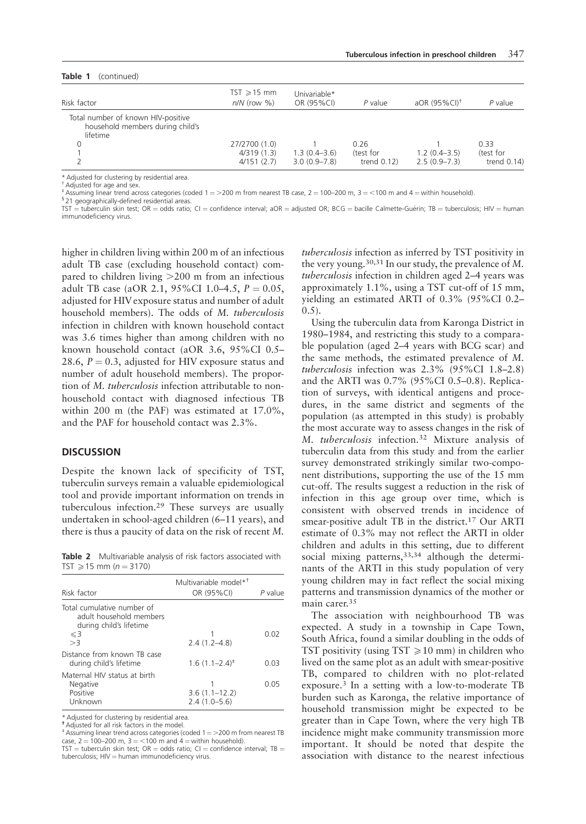| Table 1<br>(continued)                                                             |                                           |                                      |                                    |                                      |                                     |  |  |  |
|------------------------------------------------------------------------------------|-------------------------------------------|--------------------------------------|------------------------------------|--------------------------------------|-------------------------------------|--|--|--|
| Risk factor                                                                        | $TST \ge 15$ mm<br>$n/N$ (row $\%$ )      | Univariable*<br>OR (95%CI)           | $P$ value                          | aOR (95%CI) <sup>+</sup>             | $P$ value                           |  |  |  |
| Total number of known HIV-positive<br>household members during child's<br>lifetime | 27/2700 (1.0)<br>4/319(1.3)<br>4/151(2.7) | $1.3(0.4 - 3.6)$<br>$3.0(0.9 - 7.8)$ | 0.26<br>test for<br>trend $0.12$ ) | $1.2(0.4 - 3.5)$<br>$2.5(0.9 - 7.3)$ | 0.33<br>(test for<br>trend $0.14$ ) |  |  |  |

\* Adjusted for clustering by residential area.

†Adjusted for age and sex.  $^*$ Assuming linear trend across categories (coded 1 = >200 m from nearest TB case, 2 = 100–200 m, 3 = <100 m and 4 = within household). § 21 geographically-defined residential areas.

 $TST =$  tuberculin skin test;  $OR =$  odds ratio;  $CI =$  confidence interval; aOR = adjusted OR; BCG = bacille Calmette-Guérin; TB = tuberculosis; HIV = human immunodeficiency virus.

higher in children living within 200 m of an infectious adult TB case (excluding household contact) compared to children living  $>200$  m from an infectious adult TB case (aOR 2.1, 95%CI 1.0–4.5,  $P = 0.05$ , adjusted for HIV exposure status and number of adult household members). The odds of M. tuberculosis infection in children with known household contact was 3.6 times higher than among children with no known household contact (aOR 3.6, 95%CI 0.5– 28.6,  $P = 0.3$ , adjusted for HIV exposure status and number of adult household members). The proportion of M. tuberculosis infection attributable to nonhousehold contact with diagnosed infectious TB within 200 m (the PAF) was estimated at 17.0%, and the PAF for household contact was 2.3%.

### **DISCUSSION**

Despite the known lack of specificity of TST, tuberculin surveys remain a valuable epidemiological tool and provide important information on trends in tuberculous infection.<sup>29</sup> These surveys are usually undertaken in school-aged children (6–11 years), and there is thus a paucity of data on the risk of recent M.

Table 2 Multivariable analysis of risk factors associated with  $TST \ge 15$  mm ( $n = 3170$ )

| Risk factor                                                                                  | Multivariable model* <sup>†</sup><br>OR (95%CI) | P value |
|----------------------------------------------------------------------------------------------|-------------------------------------------------|---------|
| Total cumulative number of<br>adult household members<br>during child's lifetime<br>$\leq$ 3 |                                                 | N 02    |
| >3                                                                                           | $2.4(1.2 - 4.8)$                                |         |
| Distance from known TB case<br>during child's lifetime                                       | $1.6(1.1 - 2.4)^{*}$                            | 0 O3    |
| Maternal HIV status at birth<br>Negative<br>Positive<br>Unknown                              | $3.6(1.1 - 12.2)$<br>$2.4(1.0-5.6)$             | 0 05    |

\* Adjusted for clustering by residential area.

†Adjusted for all risk factors in the model.

 $*$  Assuming linear trend across categories (coded  $1 = >200$  m from nearest TB case,  $2 = 100 - 200$  m,  $3 = < 100$  m and  $4 =$  within household).

TST = tuberculin skin test; OR = odds ratio; CI = confidence interval; TB =<br>tuberculosis; HIV = human immunodeficiency virus.

tuberculosis infection as inferred by TST positivity in the very young.<sup>30,31</sup> In our study, the prevalence of  $M$ . tuberculosis infection in children aged 2–4 years was approximately 1.1%, using a TST cut-off of 15 mm, yielding an estimated ARTI of 0.3% (95%CI 0.2–  $(0.5)$ .

Using the tuberculin data from Karonga District in 1980–1984, and restricting this study to a comparable population (aged 2–4 years with BCG scar) and the same methods, the estimated prevalence of M. tuberculosis infection was 2.3% (95%CI 1.8–2.8) and the ARTI was 0.7% (95%CI 0.5–0.8). Replication of surveys, with identical antigens and procedures, in the same district and segments of the population (as attempted in this study) is probably the most accurate way to assess changes in the risk of M. tuberculosis infection.<sup>32</sup> Mixture analysis of tuberculin data from this study and from the earlier survey demonstrated strikingly similar two-component distributions, supporting the use of the 15 mm cut-off. The results suggest a reduction in the risk of infection in this age group over time, which is consistent with observed trends in incidence of smear-positive adult TB in the district.<sup>17</sup> Our ARTI estimate of 0.3% may not reflect the ARTI in older children and adults in this setting, due to different social mixing patterns, 33,34 although the determinants of the ARTI in this study population of very young children may in fact reflect the social mixing patterns and transmission dynamics of the mother or main carer.35

The association with neighbourhood TB was expected. A study in a township in Cape Town, South Africa, found a similar doubling in the odds of TST positivity (using  $TST \ge 10$  mm) in children who lived on the same plot as an adult with smear-positive TB, compared to children with no plot-related exposure.3 In a setting with a low-to-moderate TB burden such as Karonga, the relative importance of household transmission might be expected to be greater than in Cape Town, where the very high TB incidence might make community transmission more important. It should be noted that despite the association with distance to the nearest infectious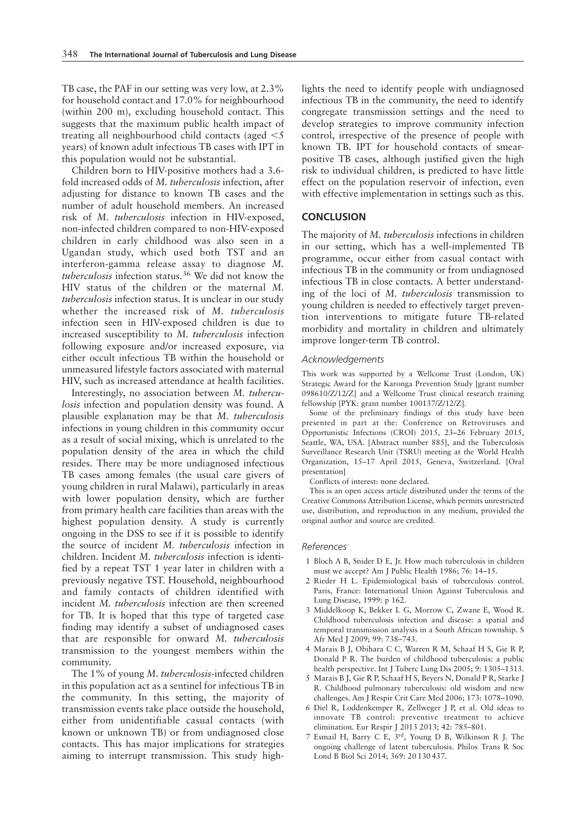TB case, the PAF in our setting was very low, at 2.3% for household contact and 17.0% for neighbourhood (within 200 m), excluding household contact. This suggests that the maximum public health impact of treating all neighbourhood child contacts (aged  $\leq$  5 years) of known adult infectious TB cases with IPT in this population would not be substantial.

Children born to HIV-positive mothers had a 3.6 fold increased odds of M. tuberculosis infection, after adjusting for distance to known TB cases and the number of adult household members. An increased risk of M. tuberculosis infection in HIV-exposed, non-infected children compared to non-HIV-exposed children in early childhood was also seen in a Ugandan study, which used both TST and an interferon-gamma release assay to diagnose M. tuberculosis infection status.<sup>36</sup> We did not know the HIV status of the children or the maternal M. tuberculosis infection status. It is unclear in our study whether the increased risk of M. tuberculosis infection seen in HIV-exposed children is due to increased susceptibility to M. tuberculosis infection following exposure and/or increased exposure, via either occult infectious TB within the household or unmeasured lifestyle factors associated with maternal HIV, such as increased attendance at health facilities.

Interestingly, no association between M. tuberculosis infection and population density was found. A plausible explanation may be that M. tuberculosis infections in young children in this community occur as a result of social mixing, which is unrelated to the population density of the area in which the child resides. There may be more undiagnosed infectious TB cases among females (the usual care givers of young children in rural Malawi), particularly in areas with lower population density, which are further from primary health care facilities than areas with the highest population density. A study is currently ongoing in the DSS to see if it is possible to identify the source of incident M. tuberculosis infection in children. Incident M. tuberculosis infection is identified by a repeat TST 1 year later in children with a previously negative TST. Household, neighbourhood and family contacts of children identified with incident M. tuberculosis infection are then screened for TB. It is hoped that this type of targeted case finding may identify a subset of undiagnosed cases that are responsible for onward M. tuberculosis transmission to the youngest members within the community.

The 1% of young M. tuberculosis-infected children in this population act as a sentinel for infectious TB in the community. In this setting, the majority of transmission events take place outside the household, either from unidentifiable casual contacts (with known or unknown TB) or from undiagnosed close contacts. This has major implications for strategies aiming to interrupt transmission. This study highlights the need to identify people with undiagnosed infectious TB in the community, the need to identify congregate transmission settings and the need to develop strategies to improve community infection control, irrespective of the presence of people with known TB. IPT for household contacts of smearpositive TB cases, although justified given the high risk to individual children, is predicted to have little effect on the population reservoir of infection, even with effective implementation in settings such as this.

### **CONCLUSION**

The majority of M. tuberculosis infections in children in our setting, which has a well-implemented TB programme, occur either from casual contact with infectious TB in the community or from undiagnosed infectious TB in close contacts. A better understanding of the loci of M. tuberculosis transmission to young children is needed to effectively target prevention interventions to mitigate future TB-related morbidity and mortality in children and ultimately improve longer-term TB control.

### Acknowledgements

This work was supported by a Wellcome Trust (London, UK) Strategic Award for the Karonga Prevention Study [grant number 098610/Z/12/Z] and a Wellcome Trust clinical research training fellowship [PYK: grant number 100137/Z/12/Z].

Some of the preliminary findings of this study have been presented in part at the: Conference on Retroviruses and Opportunistic Infections (CROI) 2015, 23–26 February 2015, Seattle, WA, USA. [Abstract number 885], and the Tuberculosis Surveillance Research Unit (TSRU) meeting at the World Health Organization, 15–17 April 2015, Geneva, Switzerland. [Oral presentation]

Conflicts of interest: none declared.

This is an open access article distributed under the terms of the Creative Commons Attribution License, which permits unrestricted use, distribution, and reproduction in any medium, provided the original author and source are credited.

### References

- 1 Bloch A B, Snider D E, Jr. How much tuberculosis in children must we accept? Am J Public Health 1986; 76: 14–15.
- 2 Rieder H L. Epidemiological basis of tuberculosis control. Paris, France: International Union Against Tuberculosis and Lung Disease, 1999: p 162.
- 3 Middelkoop K, Bekker L G, Morrow C, Zwane E, Wood R. Childhood tuberculosis infection and disease: a spatial and temporal transmission analysis in a South African township. S Afr Med J 2009; 99: 738–743.
- 4 Marais B J, Obihara C C, Warren R M, Schaaf H S, Gie R P, Donald P R. The burden of childhood tuberculosis: a public health perspective. Int J Tuberc Lung Dis 2005; 9: 1305–1313.
- 5 Marais B J, Gie R P, Schaaf H S, Beyers N, Donald P R, Starke J R. Childhood pulmonary tuberculosis: old wisdom and new challenges. Am J Respir Crit Care Med 2006; 173: 1078–1090.
- 6 Diel R, Loddenkemper R, Zellweger J P, et al. Old ideas to innovate TB control: preventive treatment to achieve elimination. Eur Respir J 2013 2013; 42: 785–801.
- 7 Esmail H, Barry C E, 3rd, Young D B, Wilkinson R J. The ongoing challenge of latent tuberculosis. Philos Trans R Soc Lond B Biol Sci 2014; 369: 20 130 437.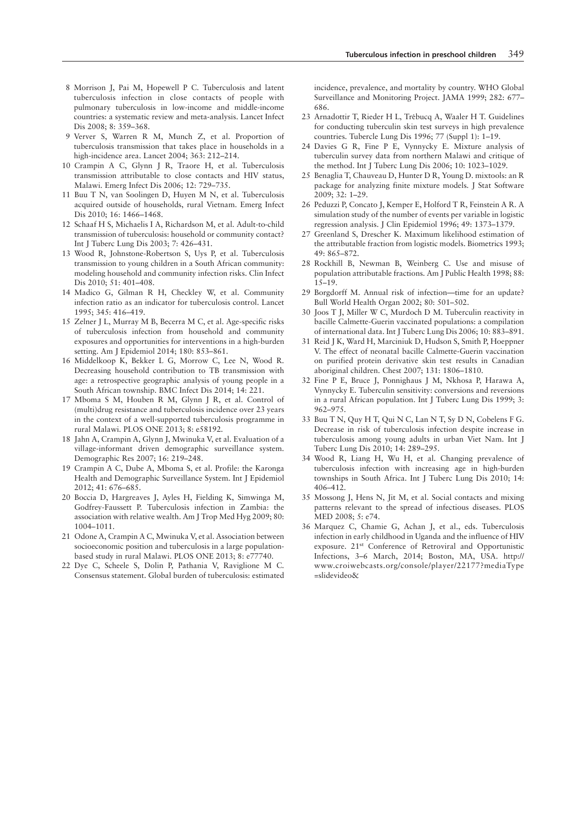- 8 Morrison J, Pai M, Hopewell P C. Tuberculosis and latent tuberculosis infection in close contacts of people with pulmonary tuberculosis in low-income and middle-income countries: a systematic review and meta-analysis. Lancet Infect Dis 2008; 8: 359–368.
- 9 Verver S, Warren R M, Munch Z, et al. Proportion of tuberculosis transmission that takes place in households in a high-incidence area. Lancet 2004; 363: 212–214.
- 10 Crampin A C, Glynn J R, Traore H, et al. Tuberculosis transmission attributable to close contacts and HIV status, Malawi. Emerg Infect Dis 2006; 12: 729–735.
- 11 Buu T N, van Soolingen D, Huyen M N, et al. Tuberculosis acquired outside of households, rural Vietnam. Emerg Infect Dis 2010; 16: 1466–1468.
- 12 Schaaf H S, Michaelis I A, Richardson M, et al. Adult-to-child transmission of tuberculosis: household or community contact? Int J Tuberc Lung Dis 2003; 7: 426–431.
- 13 Wood R, Johnstone-Robertson S, Uys P, et al. Tuberculosis transmission to young children in a South African community: modeling household and community infection risks. Clin Infect Dis 2010; 51: 401–408.
- 14 Madico G, Gilman R H, Checkley W, et al. Community infection ratio as an indicator for tuberculosis control. Lancet 1995; 345: 416–419.
- 15 Zelner J L, Murray M B, Becerra M C, et al. Age-specific risks of tuberculosis infection from household and community exposures and opportunities for interventions in a high-burden setting. Am J Epidemiol 2014; 180: 853–861.
- 16 Middelkoop K, Bekker L G, Morrow C, Lee N, Wood R. Decreasing household contribution to TB transmission with age: a retrospective geographic analysis of young people in a South African township. BMC Infect Dis 2014; 14: 221.
- 17 Mboma S M, Houben R M, Glynn J R, et al. Control of (multi)drug resistance and tuberculosis incidence over 23 years in the context of a well-supported tuberculosis programme in rural Malawi. PLOS ONE 2013; 8: e58192.
- 18 Jahn A, Crampin A, Glynn J, Mwinuka V, et al. Evaluation of a village-informant driven demographic surveillance system. Demographic Res 2007; 16: 219–248.
- 19 Crampin A C, Dube A, Mboma S, et al. Profile: the Karonga Health and Demographic Surveillance System. Int J Epidemiol 2012; 41: 676–685.
- 20 Boccia D, Hargreaves J, Ayles H, Fielding K, Simwinga M, Godfrey-Faussett P. Tuberculosis infection in Zambia: the association with relative wealth. Am J Trop Med Hyg 2009; 80: 1004–1011.
- 21 Odone A, Crampin A C, Mwinuka V, et al. Association between socioeconomic position and tuberculosis in a large populationbased study in rural Malawi. PLOS ONE 2013; 8: e77740.
- 22 Dye C, Scheele S, Dolin P, Pathania V, Raviglione M C. Consensus statement. Global burden of tuberculosis: estimated

incidence, prevalence, and mortality by country. WHO Global Surveillance and Monitoring Project. JAMA 1999; 282: 677– 686.

- 23 Arnadottir T, Rieder H L, Trebucq A, Waaler H T. Guidelines ´ for conducting tuberculin skin test surveys in high prevalence countries. Tubercle Lung Dis 1996; 77 (Suppl 1): 1–19.
- 24 Davies G R, Fine P E, Vynnycky E. Mixture analysis of tuberculin survey data from northern Malawi and critique of the method. Int J Tuberc Lung Dis 2006; 10: 1023–1029.
- 25 Benaglia T, Chauveau D, Hunter D R, Young D. mixtools: an R package for analyzing finite mixture models. J Stat Software 2009; 32: 1–29.
- 26 Peduzzi P, Concato J, Kemper E, Holford T R, Feinstein A R. A simulation study of the number of events per variable in logistic regression analysis. J Clin Epidemiol 1996; 49: 1373–1379.
- 27 Greenland S, Drescher K. Maximum likelihood estimation of the attributable fraction from logistic models. Biometrics 1993; 49: 865–872.
- 28 Rockhill B, Newman B, Weinberg C. Use and misuse of population attributable fractions. Am J Public Health 1998; 88: 15–19.
- 29 Borgdorff M. Annual risk of infection—time for an update? Bull World Health Organ 2002; 80: 501–502.
- 30 Joos T J, Miller W C, Murdoch D M. Tuberculin reactivity in bacille Calmette-Guerin vaccinated populations: a compilation of international data. Int J Tuberc Lung Dis 2006; 10: 883–891.
- 31 Reid J K, Ward H, Marciniuk D, Hudson S, Smith P, Hoeppner V. The effect of neonatal bacille Calmette-Guerin vaccination on purified protein derivative skin test results in Canadian aboriginal children. Chest 2007; 131: 1806–1810.
- 32 Fine P E, Bruce J, Ponnighaus J M, Nkhosa P, Harawa A, Vynnycky E. Tuberculin sensitivity: conversions and reversions in a rural African population. Int J Tuberc Lung Dis 1999; 3: 962–975.
- 33 Buu T N, Quy H T, Qui N C, Lan N T, Sy D N, Cobelens F G. Decrease in risk of tuberculosis infection despite increase in tuberculosis among young adults in urban Viet Nam. Int J Tuberc Lung Dis 2010; 14: 289–295.
- 34 Wood R, Liang H, Wu H, et al. Changing prevalence of tuberculosis infection with increasing age in high-burden townships in South Africa. Int J Tuberc Lung Dis 2010; 14: 406–412.
- 35 Mossong J, Hens N, Jit M, et al. Social contacts and mixing patterns relevant to the spread of infectious diseases. PLOS MED 2008; 5: e74.
- 36 Marquez C, Chamie G, Achan J, et al., eds. Tuberculosis infection in early childhood in Uganda and the influence of HIV exposure. 21st Conference of Retroviral and Opportunistic Infections, 3–6 March, 2014; Boston, MA, USA. http:// www.croiwebcasts.org/console/player/22177?mediaType =slidevideo&